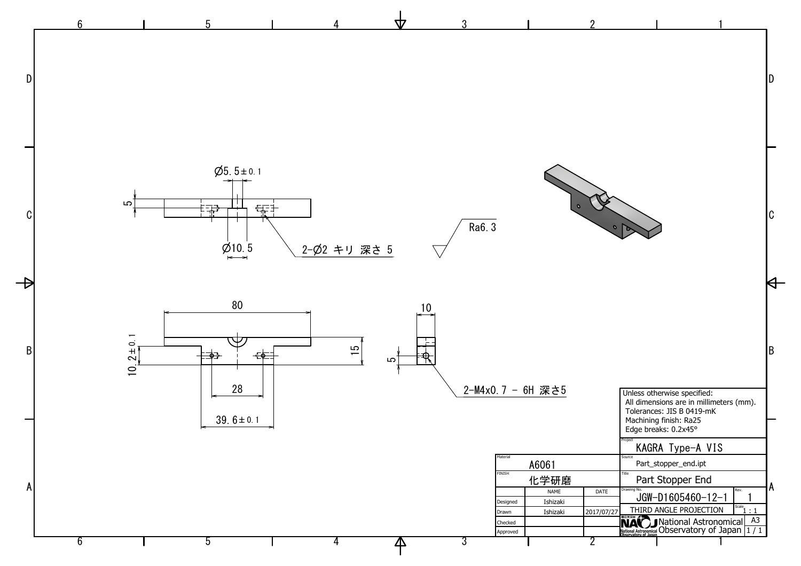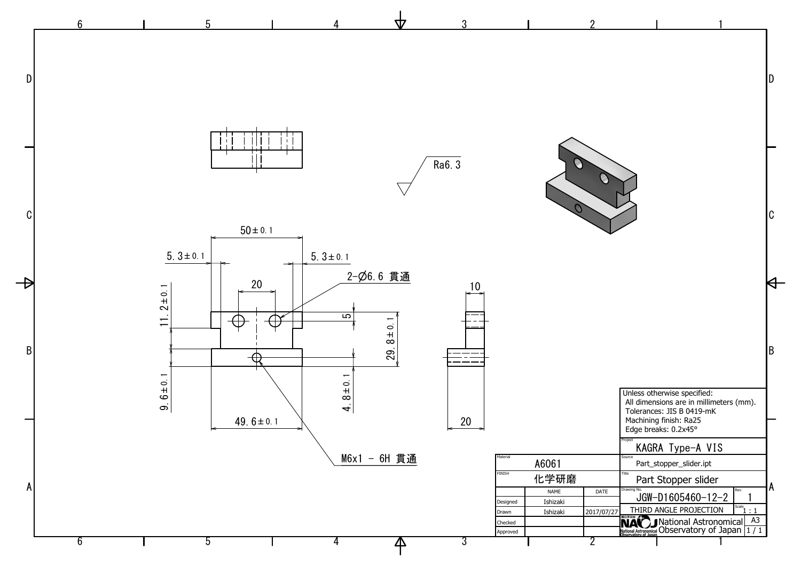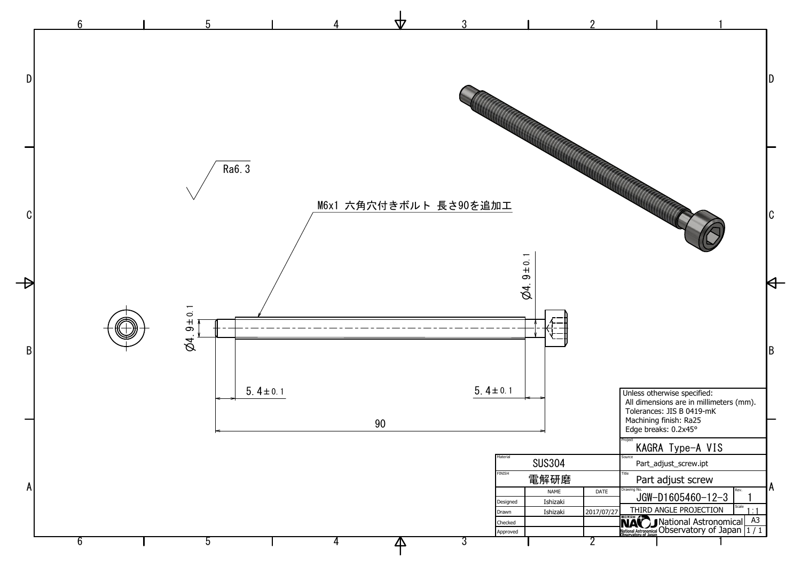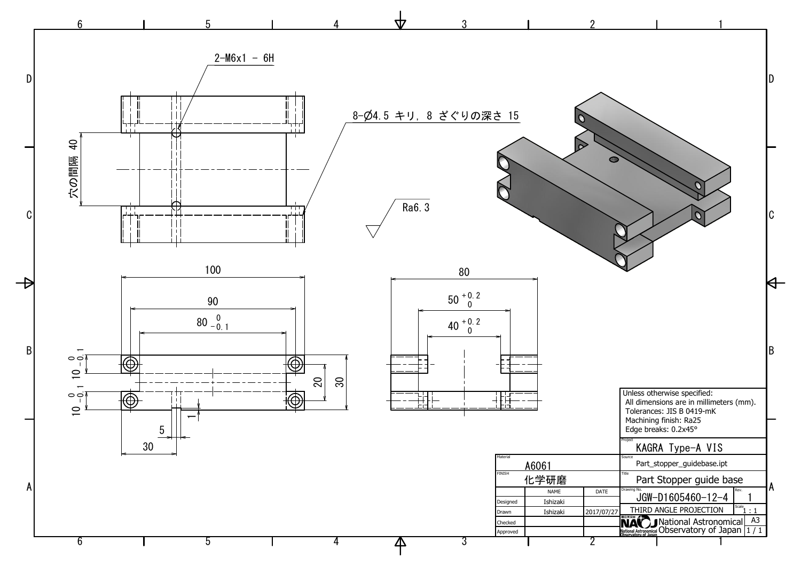